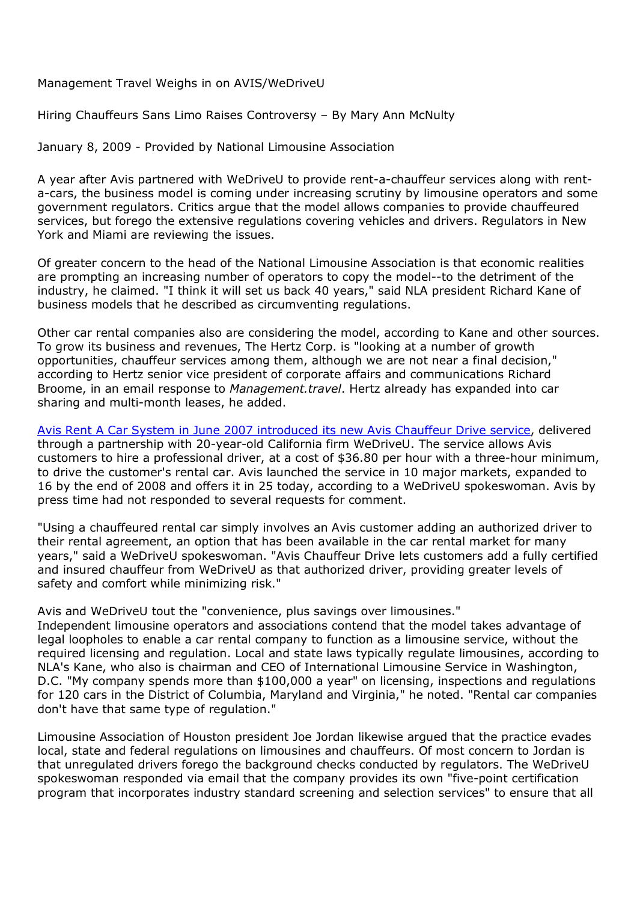Management Travel Weighs in on AVIS/WeDriveU

Hiring Chauffeurs Sans Limo Raises Controversy – By Mary Ann McNulty

January 8, 2009 - Provided by National Limousine Association

A year after Avis partnered with WeDriveU to provide rent-a-chauffeur services along with renta-cars, the business model is coming under increasing scrutiny by limousine operators and some government regulators. Critics argue that the model allows companies to provide chauffeured services, but forego the extensive regulations covering vehicles and drivers. Regulators in New York and Miami are reviewing the issues.

Of greater concern to the head of the National Limousine Association is that economic realities are prompting an increasing number of operators to copy the model--to the detriment of the industry, he claimed. "I think it will set us back 40 years," said NLA president Richard Kane of business models that he described as circumventing regulations.

Other car rental companies also are considering the model, according to Kane and other sources. To grow its business and revenues, The Hertz Corp. is "looking at a number of growth opportunities, chauffeur services among them, although we are not near a final decision," according to Hertz senior vice president of corporate affairs and communications Richard Broome, in an email response to *Management.travel*. Hertz already has expanded into car sharing and multi-month leases, he added.

Avis Rent A Car System in June 2007 introduced its new Avis Chauffeur Drive service, delivered through a partnership with 20-year-old California firm WeDriveU. The service allows Avis customers to hire a professional driver, at a cost of \$36.80 per hour with a three-hour minimum, to drive the customer's rental car. Avis launched the service in 10 major markets, expanded to 16 by the end of 2008 and offers it in 25 today, according to a WeDriveU spokeswoman. Avis by press time had not responded to several requests for comment.

"Using a chauffeured rental car simply involves an Avis customer adding an authorized driver to their rental agreement, an option that has been available in the car rental market for many years," said a WeDriveU spokeswoman. "Avis Chauffeur Drive lets customers add a fully certified and insured chauffeur from WeDriveU as that authorized driver, providing greater levels of safety and comfort while minimizing risk."

## Avis and WeDriveU tout the "convenience, plus savings over limousines."

Independent limousine operators and associations contend that the model takes advantage of legal loopholes to enable a car rental company to function as a limousine service, without the required licensing and regulation. Local and state laws typically regulate limousines, according to NLA's Kane, who also is chairman and CEO of International Limousine Service in Washington, D.C. "My company spends more than \$100,000 a year" on licensing, inspections and regulations for 120 cars in the District of Columbia, Maryland and Virginia," he noted. "Rental car companies don't have that same type of regulation."

Limousine Association of Houston president Joe Jordan likewise argued that the practice evades local, state and federal regulations on limousines and chauffeurs. Of most concern to Jordan is that unregulated drivers forego the background checks conducted by regulators. The WeDriveU spokeswoman responded via email that the company provides its own "five-point certification program that incorporates industry standard screening and selection services" to ensure that all